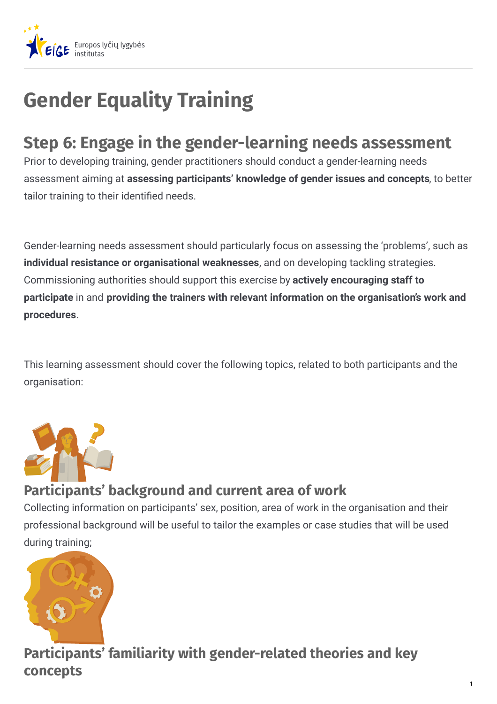

# **Gender Equality Training**

# **Step 6: Engage in the gender-learning needs assessment**

Prior to developing training, gender practitioners should conduct a gender-learning needs assessment aiming at **assessing participants' knowledge of gender issues and concepts**, to better tailor training to their identified needs.

Gender-learning needs assessment should particularly focus on assessing the 'problems', such as **individual resistance or organisational weaknesses**, and on developing tackling strategies. Commissioning authorities should support this exercise by **actively encouraging staff to participate** in and **providing the trainers with relevant information on the organisation's work and procedures**.

This learning assessment should cover the following topics, related to both participants and the organisation:



#### **Participants' background and current area of work**

Collecting information on participants' sex, position, area of work in the organisation and their professional background will be useful to tailor the examples or case studies that will be used during training;



**Participants' familiarity with gender-related theories and key concepts**